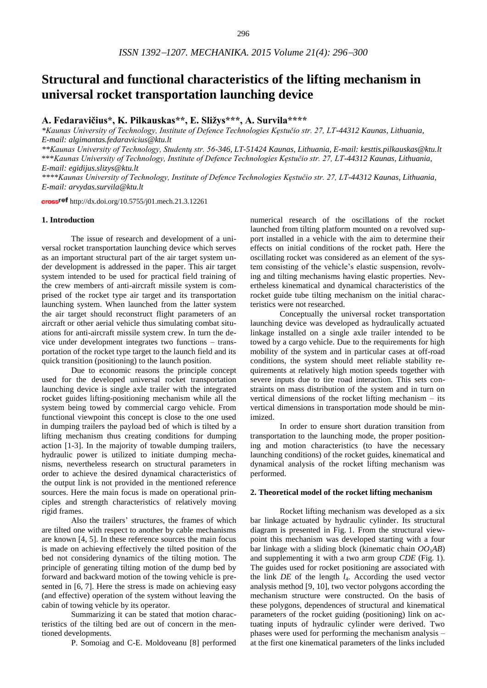# **Structural and functional characteristics of the lifting mechanism in universal rocket transportation launching device**

## **A. Fedaravičius\*, K. Pilkauskas\*\*, E. Sližys\*\*\*, A. Survila\*\*\*\***

*\*Kaunas University of Technology, Institute of Defence Technologies Kęstučio str. 27, LT-44312 Kaunas, Lithuania, E-mail: algimantas.fedaravicius@ktu.lt* 

*\*\*Kaunas University of Technology, Studentų str. 56-346, LT-51424 Kaunas, Lithuania, E-mail: kesttis.pilkauskas@ktu.lt*  \*\*\**Kaunas University of Technology, Institute of Defence Technologies Kęstučio str. 27, LT-44312 Kaunas, Lithuania, E-mail: egidijus.slizys@ktu.lt* 

*\*\*\*\*Kaunas University of Technology, Institute of Defence Technologies Kęstučio str. 27, LT-44312 Kaunas, Lithuania, E-mail: arvydas.survila@ktu.lt*

cross<sup>ref</sup> http://dx.doi.org/10.5755/j01.mech.21.3.12261

#### **1. Introduction**

The issue of research and development of a universal rocket transportation launching device which serves as an important structural part of the air target system under development is addressed in the paper. This air target system intended to be used for practical field training of the crew members of anti-aircraft missile system is comprised of the rocket type air target and its transportation launching system. When launched from the latter system the air target should reconstruct flight parameters of an aircraft or other aerial vehicle thus simulating combat situations for anti-aircraft missile system crew. In turn the device under development integrates two functions – transportation of the rocket type target to the launch field and its quick transition (positioning) to the launch position.

Due to economic reasons the principle concept used for the developed universal rocket transportation launching device is single axle trailer with the integrated rocket guides lifting-positioning mechanism while all the system being towed by commercial cargo vehicle. From functional viewpoint this concept is close to the one used in dumping trailers the payload bed of which is tilted by a lifting mechanism thus creating conditions for dumping action [1-3]. In the majority of towable dumping trailers, hydraulic power is utilized to initiate dumping mechanisms, nevertheless research on structural parameters in order to achieve the desired dynamical characteristics of the output link is not provided in the mentioned reference sources. Here the main focus is made on operational principles and strength characteristics of relatively moving rigid frames.

Also the trailers' structures, the frames of which are tilted one with respect to another by cable mechanisms are known [4, 5]. In these reference sources the main focus is made on achieving effectively the tilted position of the bed not considering dynamics of the tilting motion. The principle of generating tilting motion of the dump bed by forward and backward motion of the towing vehicle is presented in [6, 7]. Here the stress is made on achieving easy (and effective) operation of the system without leaving the cabin of towing vehicle by its operator.

Summarizing it can be stated that motion characteristics of the tilting bed are out of concern in the mentioned developments.

P. Somoiag and C-E. Moldoveanu [8] performed

numerical research of the oscillations of the rocket launched from tilting platform mounted on a revolved support installed in a vehicle with the aim to determine their effects on initial conditions of the rocket path. Here the oscillating rocket was considered as an element of the system consisting of the vehicle's elastic suspension, revolving and tilting mechanisms having elastic properties. Nevertheless kinematical and dynamical characteristics of the rocket guide tube tilting mechanism on the initial characteristics were not researched.

Conceptually the universal rocket transportation launching device was developed as hydraulically actuated linkage installed on a single axle trailer intended to be towed by a cargo vehicle. Due to the requirements for high mobility of the system and in particular cases at off-road conditions, the system should meet reliable stability requirements at relatively high motion speeds together with severe inputs due to tire road interaction. This sets constraints on mass distribution of the system and in turn on vertical dimensions of the rocket lifting mechanism – its vertical dimensions in transportation mode should be minimized.

In order to ensure short duration transition from transportation to the launching mode, the proper positioning and motion characteristics (to have the necessary launching conditions) of the rocket guides, kinematical and dynamical analysis of the rocket lifting mechanism was performed.

#### **2. Theoretical model of the rocket lifting mechanism**

Rocket lifting mechanism was developed as a six bar linkage actuated by hydraulic cylinder. Its structural diagram is presented in Fig. 1. From the structural viewpoint this mechanism was developed starting with a four bar linkage with a sliding block (kinematic chain *OO*1*AB*) and supplementing it with a two arm group *CDE* (Fig. 1). The guides used for rocket positioning are associated with the link  $DE$  of the length  $l_4$ . According the used vector analysis method [9, 10], two vector polygons according the mechanism structure were constructed. On the basis of these polygons, dependences of structural and kinematical parameters of the rocket guiding (positioning) link on actuating inputs of hydraulic cylinder were derived. Two phases were used for performing the mechanism analysis – at the first one kinematical parameters of the links included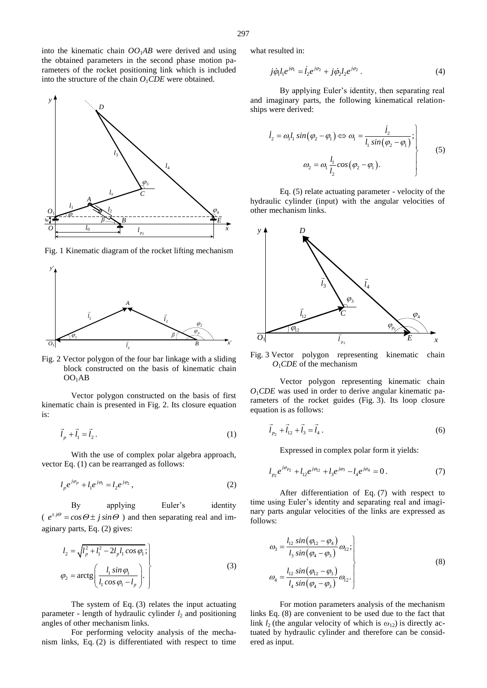into the kinematic chain  $OO<sub>1</sub>AB$  were derived and using the obtained parameters in the second phase motion parameters of the rocket positioning link which is included into the structure of the chain  $O_1CDE$  were obtained.

Fig. 1 Kinematic diagram of the rocket lifting mechanism

*A*

 $\iota$  $\overline{\phantom{a}}$ 

*l*4

*p*<sup>2</sup>

 $\frac{1}{p}$ 

 $A \sim \frac{l_x}{l_x}$ 

 $l_3$ 

*lx*

 $l<sub>2</sub>$ 

*D*

*e*

*O*1

*y*

 $l_0$ 

 $\begin{array}{c}\n\sqrt[4]{3m} \\
\hline\n\end{array}$   $\begin{array}{c}\nB \\
\hline\n\end{array}$ 

*<sup>β</sup>* <sup>j</sup>

 $l_1$ 

*y*'



 $\frac{l_2}{\beta}$  *β*  $\frac{q}{\beta}$ 

Vector polygon constructed on the basis of first kinematic chain is presented in Fig. 2. Its closure equation is:

$$
\vec{l}_p + \vec{l}_1 = \vec{l}_2.
$$
 (1)

With the use of complex polar algebra approach, vector Eq. (1) can be rearranged as follows:

$$
l_p e^{j\varphi_p} + l_1 e^{j\varphi_1} = l_2 e^{j\varphi_2}, \qquad (2)
$$

By applying Euler's identity  $(e^{i\phi} = \cos\Theta \pm j \sin\Theta)$  and then separating real and imaginary parts, Eq. (2) gives:

$$
l_2 = \sqrt{l_p^2 + l_1^2 - 2l_p l_1 \cos \varphi_1};
$$
  
\n
$$
\varphi_2 = \arctg\left(\frac{l_1 \sin \varphi_1}{l_1 \cos \varphi_1 - l_p}\right).
$$
\n(3)

The system of Eq. (3) relates the input actuating parameter - length of hydraulic cylinder  $l_2$  and positioning angles of other mechanism links.

For performing velocity analysis of the mechanism links, Eq. (2) is differentiated with respect to time what resulted in:

$$
j\dot{\varphi}_1 l_1 e^{j\varphi_1} = \dot{l}_2 e^{j\varphi_2} + j\dot{\varphi}_2 l_2 e^{j\varphi_2} . \tag{4}
$$

By applying Euler's identity, then separating real and imaginary parts, the following kinematical relationships were derived:

$$
\begin{aligned}\n\dot{l}_2 &= \omega_1 l_1 \sin(\varphi_2 - \varphi_1) \Leftrightarrow \omega_1 = \frac{\dot{l}_2}{l_1 \sin(\varphi_2 - \varphi_1)}; \\
&\omega_2 = \omega_1 \frac{l_1}{l_2} \cos(\varphi_2 - \varphi_1).\n\end{aligned} \tag{5}
$$

 $\begin{array}{ccc}\n\sqrt{\frac{\rho_3}{C}} & \text{Eq.} \\
-\text{1} & \text{hydraulic cy} \\
\hline\nI_{p_2} & x & y \end{array}$ Eq. (5) relate actuating parameter - velocity of the hydraulic cylinder (input) with the angular velocities of other mechanism links.



Fig. 3 Vector polygon representing kinematic chain *O*1*CDE* of the mechanism

Vector polygon representing kinematic chain  $O_1CDE$  was used in order to derive angular kinematic parameters of the rocket guides (Fig. 3). Its loop closure equation is as follows:

$$
\vec{l}_{p_2} + \vec{l}_{12} + \vec{l}_3 = \vec{l}_4 \,. \tag{6}
$$

Expressed in complex polar form it yields:

$$
l_{p_2}e^{j\varphi_{p_2}} + l_{12}e^{j\varphi_{12}} + l_3e^{j\varphi_3} - l_4e^{j\varphi_4} = 0.
$$
 (7)

After differentiation of Eq. (7) with respect to time using Euler's identity and separating real and imaginary parts angular velocities of the links are expressed as follows:

$$
\omega_3 = \frac{l_{12} \sin(\varphi_{12} - \varphi_4)}{l_3 \sin(\varphi_4 - \varphi_3)} \omega_{12};
$$
\n
$$
\omega_4 = \frac{l_{12} \sin(\varphi_{12} - \varphi_3)}{l_4 \sin(\varphi_4 - \varphi_3)} \omega_{12}.
$$
\n(8)

For motion parameters analysis of the mechanism links Eq. (8) are convenient to be used due to the fact that link  $l_2$  (the angular velocity of which is  $\omega_{12}$ ) is directly actuated by hydraulic cylinder and therefore can be considered as input.

*E*

2  $\qquad \qquad \blacksquare$  $l_2$ 

*x*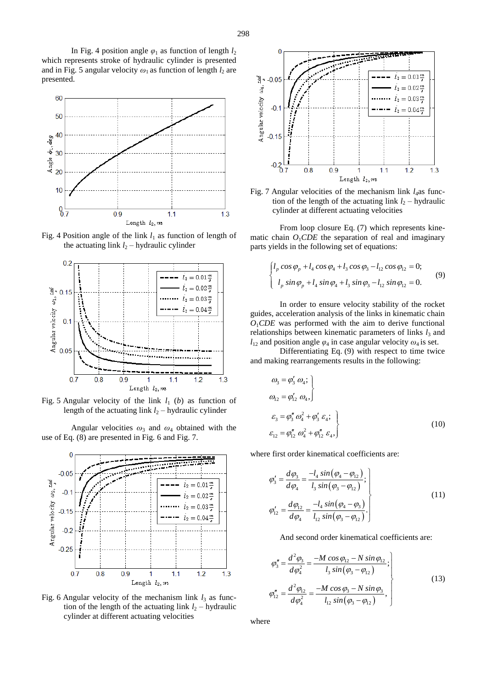

In Fig. 4 position angle  $\varphi_1$  as function of length  $l_2$ 

which represents stroke of hydraulic cylinder is presented and in Fig. 5 angular velocity  $\omega_1$  as function of length  $l_2$  are

Fig. 4 Position angle of the link  $l_1$  as function of length of the actuating link  $l_2$  – hydraulic cylinder



Fig. 5 Angular velocity of the link  $l_1$  (*b*) as function of length of the actuating link  $l_2$  – hydraulic cylinder

Angular velocities *ω*3 and *ω*4 obtained with the use of Eq. (8) are presented in Fig. 6 and Fig. 7.



Fig. 6 Angular velocity of the mechanism link  $l_3$  as function of the length of the actuating link  $l_2$  – hydraulic cylinder at different actuating velocities



Fig. 7 Angular velocities of the mechanism link *l*4as function of the length of the actuating link  $l_2$  – hydraulic cylinder at different actuating velocities

From loop closure Eq. (7) which represents kinematic chain  $O_1CDE$  the separation of real and imaginary parts yields in the following set of equations:

$$
\begin{cases}\n l_p \cos \varphi_p + l_4 \cos \varphi_4 + l_3 \cos \varphi_3 - l_{12} \cos \varphi_{12} = 0; \\
 l_p \sin \varphi_p + l_4 \sin \varphi_4 + l_3 \sin \varphi_3 - l_{12} \sin \varphi_{12} = 0.\n\end{cases}
$$
\n(9)

In order to ensure velocity stability of the rocket guides, acceleration analysis of the links in kinematic chain  $O_1$ *CDE* was performed with the aim to derive functional relationships between kinematic parameters of links  $l_3$  and  $l_{12}$  and position angle  $\varphi_4$  in case angular velocity  $\omega_4$  is set.

Differentiating Eq. (9) with respect to time twice and making rearrangements results in the following:

$$
\omega_3 = \varphi'_3 \omega_4; \n\omega_{12} = \varphi'_{12} \omega_4, \n\varepsilon_3 = \varphi''_3 \omega_4^2 + \varphi'_3 \varepsilon_4; \n\varepsilon_{12} = \varphi''_{12} \omega_4^2 + \varphi''_{12} \varepsilon_4,
$$
\n(10)

where first order kinematical coefficients are:

$$
\varphi_3' = \frac{d\varphi_3}{d\varphi_4} = \frac{-l_4 \sin(\varphi_4 - \varphi_{12})}{l_3 \sin(\varphi_3 - \varphi_{12})};
$$
\n
$$
\varphi_{12}' = \frac{d\varphi_{12}}{d\varphi_4} = \frac{-l_4 \sin(\varphi_4 - \varphi_3)}{l_{12} \sin(\varphi_3 - \varphi_{12})}.
$$
\n(11)

And second order kinematical coefficients are:

$$
\varphi_3'' = \frac{d^2 \varphi_3}{d \varphi_4^2} = \frac{-M \cos \varphi_{12} - N \sin \varphi_{12}}{l_3 \sin (\varphi_3 - \varphi_{12})};
$$
\n
$$
\varphi_{12}'' = \frac{d^2 \varphi_{12}}{d \varphi_4^2} = \frac{-M \cos \varphi_3 - N \sin \varphi_3}{l_{12} \sin (\varphi_3 - \varphi_{12})};
$$
\n(13)

where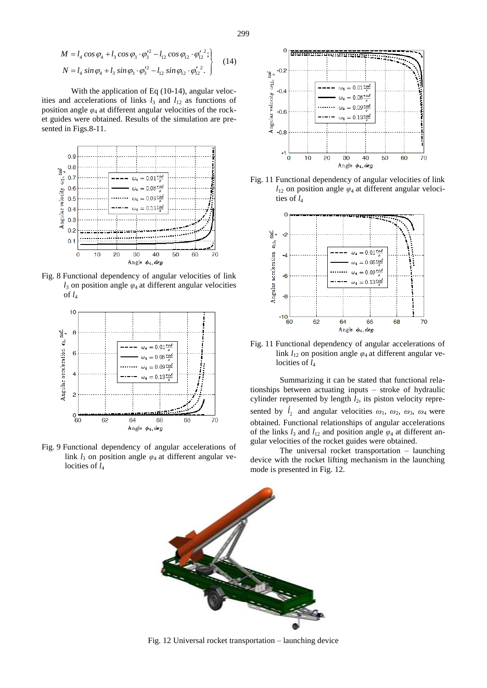$$
M = l_4 \cos \varphi_4 + l_3 \cos \varphi_3 \cdot \varphi_3'^2 - l_{12} \cos \varphi_{12} \cdot \varphi_{12}'^2; N = l_4 \sin \varphi_4 + l_3 \sin \varphi_3 \cdot \varphi_3'^2 - l_{12} \sin \varphi_{12} \cdot \varphi_{12}'^2.
$$
 (14)

With the application of Eq (10-14), angular velocities and accelerations of links  $l_3$  and  $l_{12}$  as functions of position angle  $\varphi_4$  at different angular velocities of the rocket guides were obtained. Results of the simulation are presented in Figs.8-11.



Fig. 8 Functional dependency of angular velocities of link  $l_3$  on position angle  $\varphi_4$  at different angular velocities of  $l_4$ 



Fig. 9 Functional dependency of angular accelerations of link  $l_3$  on position angle  $\varphi_4$  at different angular velocities of  $l_4$ 



Fig. 11 Functional dependency of angular velocities of link  $l_{12}$  on position angle  $\varphi_4$  at different angular velocities of  $l_4$ 



Fig. 11 Functional dependency of angular accelerations of link  $l_{12}$  on position angle  $\varphi_4$  at different angular velocities of  $l_4$ 

Summarizing it can be stated that functional relationships between actuating inputs – stroke of hydraulic cylinder represented by length *l*2, its piston velocity represented by  $l_2$  and angular velocities  $\omega_1$ ,  $\omega_2$ ,  $\omega_3$ ,  $\omega_4$  were obtained. Functional relationships of angular accelerations of the links  $l_3$  and  $l_{12}$  and position angle  $\varphi_4$  at different angular velocities of the rocket guides were obtained.

The universal rocket transportation – launching device with the rocket lifting mechanism in the launching mode is presented in Fig. 12.



Fig. 12 Universal rocket transportation – launching device